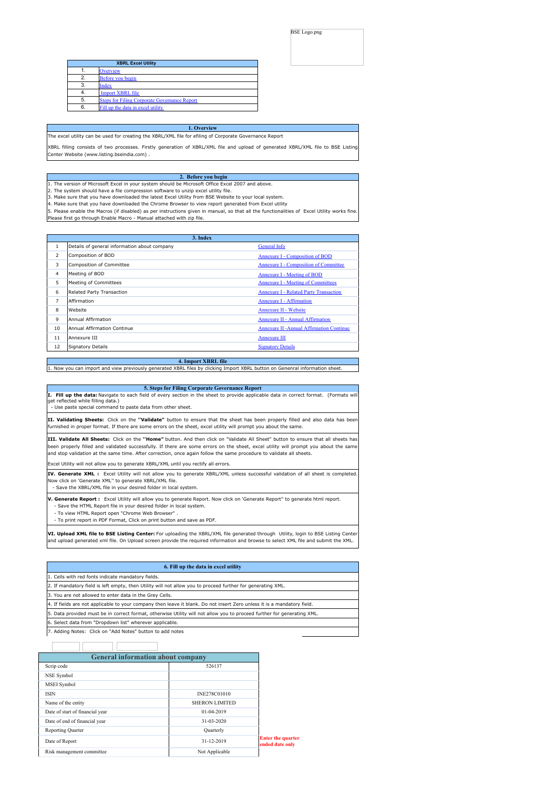#### BSE Logo.png

<span id="page-0-0"></span>

|    | <b>XBRL Excel Utility</b>                           |
|----|-----------------------------------------------------|
|    | Overview                                            |
| 2. | Before you begin                                    |
| 3. | <b>Index</b>                                        |
|    | Import XBRL file                                    |
| 5. | <b>Steps for Filing Corporate Governance Report</b> |
| 6. | Fill up the data in excel utility                   |

**1. Overview** The excel utility can be used for creating the XBRL/XML file for efiling of Corporate Governance Report

XBRL filling consists of two processes. Firstly generation of XBRL/XML file and upload of generated XBRL/XML file to BSE Listing Center Website (www.listing.bseindia.com) .

#### **2. Before you begin**

1. The version of Microsoft Excel in your system should be Microsoft Office Excel 2007 and above.

2. The system should have a file compression software to unzip excel utility file.

3. Make sure that you have downloaded the latest Excel Utility from BSE Website to your local system. 4. Make sure that you have downloaded the Chrome Browser to view report generated from Excel utility

5. Please enable the Macros (if disabled) as per instructions given in manual, so that all the functionalities of Excel Utility works fine. Please first go through Enable Macro - Manual attached with zip file.

|                |                                              | 3. Index                                        |
|----------------|----------------------------------------------|-------------------------------------------------|
|                | Details of general information about company | General Info                                    |
| $\overline{2}$ | Composition of BOD                           | Annexure I - Composition of BOD                 |
| 3              | Composition of Committee                     | <b>Annexure I - Composition of Committee</b>    |
| 4              | Meeting of BOD                               | Annexure I - Meeting of BOD                     |
| 5              | Meeting of Committees                        | <b>Annexure I - Meeting of Committees</b>       |
| 6              | Related Party Transaction                    | <b>Annexure I - Related Party Transaction</b>   |
| $\overline{7}$ | Affirmation                                  | Annexure I - Affirmation                        |
| 8              | Website                                      | Annexure II - Website                           |
| 9              | Annual Affirmation                           | <b>Annexure II - Annual Affirmation</b>         |
| 10             | Annual Affirmation Continue                  | <b>Annexure II -Annual Affirmation Continue</b> |
| 11             | Annexure III                                 | <b>Annexure III</b>                             |
| 12             | <b>Signatory Details</b>                     | <b>Signatory Details</b>                        |
|                |                                              |                                                 |

**4. Import XBRL file** 1. Now you can import and view previously generated XBRL files by clicking Import XBRL button on Genenral information she

| 5. Steps for Filing Corporate Governance Report                                                                                       |  |
|---------------------------------------------------------------------------------------------------------------------------------------|--|
| I. Fill up the data: Navigate to each field of every section in the sheet to provide applicable data in correct format. (Formats will |  |
| get reflected while filling data.)                                                                                                    |  |
| - Use paste special command to paste data from other sheet.                                                                           |  |

**II. Validating Sheets:** Click on the **''Validate"** button to ensure that the sheet has been properly filled and also data has been furnished in proper format. If there are some errors on the sheet, excel utility will prompt you about the same.

**III. Validate All Sheets:** Click on the **''Home"** button. And then click on "Validate All Sheet" button to ensure that all sheets has been properly filled and validated successfully. If there are some errors on the sheet, excel utility will prompt you about the same and stop validation at the same time. After correction, once again follow the same procedure to validate all sheets.

Excel Utility will not allow you to generate XBRL/XML until you rectify all errors.

**IV. Generate XML :** Excel Utility will not allow you to generate XBRL/XML unless successful validation of all sheet is completed. Now click on 'Generate XML'' to generate XBRL/XML file.

- Save the XBRL/XML file in your desired folder in local system.

**V. Generate Report :** Excel Utility will allow you to generate Report. Now click on 'Generate Report'' to generate html report.

- Save the HTML Report file in your desired folder in local system. - To view HTML Report open "Chrome Web Browser"

- To print report in PDF Format, Click on print button and save as PDF.

TΓ

T

**VI. Upload XML file to BSE Listing Center:** For uploading the XBRL/XML file generated through Utility, login to BSE Listing Center and upload generated xml file. On Upload screen provide the required information and browse to select XML file and submit the XML.

| 6. Fill up the data in excel utility                                                                                    |
|-------------------------------------------------------------------------------------------------------------------------|
| 1. Cells with red fonts indicate mandatory fields.                                                                      |
| 2. If mandatory field is left empty, then Utility will not allow you to proceed further for generating XML.             |
| 3. You are not allowed to enter data in the Grey Cells.                                                                 |
| 4. If fields are not applicable to your company then leave it blank. Do not insert Zero unless it is a mandatory field. |
| 5. Data provided must be in correct format, otherwise Utility will not allow you to proceed further for generating XML. |
| 6. Select data from "Dropdown list" wherever applicable.                                                                |
| 7. Adding Notes: Click on "Add Notes" button to add notes                                                               |

| <b>General information about company</b> |                       |                                             |
|------------------------------------------|-----------------------|---------------------------------------------|
| Scrip code                               | 526137                |                                             |
| NSE Symbol                               |                       |                                             |
| <b>MSEI</b> Symbol                       |                       |                                             |
| <b>ISIN</b>                              | INE278C01010          |                                             |
| Name of the entity                       | <b>SHERON LIMITED</b> |                                             |
| Date of start of financial year          | 01-04-2019            |                                             |
| Date of end of financial year            | 31-03-2020            |                                             |
| <b>Reporting Quarter</b>                 | Quarterly             |                                             |
| Date of Report                           | 31-12-2019            | <b>Enter the quarter</b><br>ended date only |
| Risk management committee                | Not Applicable        |                                             |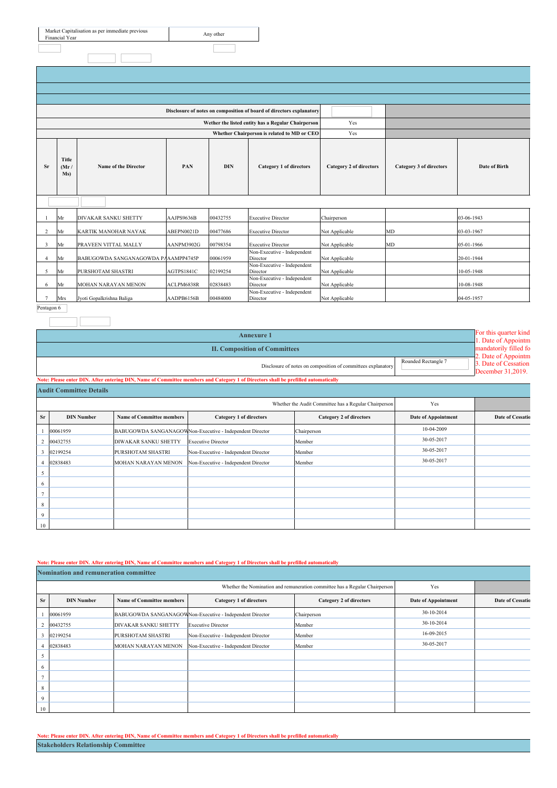| Market Capitalisation as per immediate previous<br>Financial Year | Any other |
|-------------------------------------------------------------------|-----------|
|                                                                   |           |

|                                                           |     |                                     |            |                         | Disclosure of notes on composition of board of directors explanatory |                         |                      |            |  |
|-----------------------------------------------------------|-----|-------------------------------------|------------|-------------------------|----------------------------------------------------------------------|-------------------------|----------------------|------------|--|
|                                                           |     |                                     |            |                         | Wether the listed entity has a Regular Chairperson                   | Yes                     |                      |            |  |
|                                                           |     |                                     |            |                         | Whether Chairperson is related to MD or CEO                          | Yes                     |                      |            |  |
| <b>Title</b><br>Name of the Director<br>Sr<br>(Mr)<br>Ms) |     | PAN                                 | <b>DIN</b> | Category 1 of directors | Category 2 of directors                                              | Category 3 of directors | <b>Date of Birth</b> |            |  |
|                                                           |     |                                     |            |                         |                                                                      |                         |                      |            |  |
|                                                           | Mr  | <b>DIVAKAR SANKU SHETTY</b>         | AAJPS9636B | 00432755                | <b>Executive Director</b>                                            | Chairperson             |                      | 03-06-1943 |  |
| 2                                                         | Mr  | KARTIK MANOHAR NAYAK                | ABEPN0021D | 00477686                | <b>Executive Director</b>                                            | Not Applicable          | <b>MD</b>            | 03-03-1967 |  |
| 3                                                         | Mr  | PRAVEEN VITTAL MALLY                | AANPM3902G | 00798354                | <b>Executive Director</b>                                            | Not Applicable          | MD                   | 05-01-1966 |  |
| $\overline{4}$                                            | Mr  | BABUGOWDA SANGANAGOWDA PAAAMPP4745P |            | 00061959                | Non-Executive - Independent<br>Director                              | Not Applicable          |                      | 20-01-1944 |  |
| 5                                                         | Mr  | PURSHOTAM SHASTRI                   | AGTPS1841C | 02199254                | Non-Executive - Independent<br>Director                              | Not Applicable          |                      | 10-05-1948 |  |
| 6                                                         | Mr  | <b>MOHAN NARAYAN MENON</b>          | ACLPM6838R | 02838483                | Non-Executive - Independent<br>Director                              | Not Applicable          |                      | 10-08-1948 |  |
|                                                           | Mrs | Jyoti Gopalkrishna Baliga           | AADPB6156B | 00484000                | Non-Executive - Independent<br>Director                              | Not Applicable          |                      | 04-05-1957 |  |

Pentagon 6

|                |                                                                                     | <b>Annexure 1</b>                    |                                                                                                                                    |                                                       |                     |                  |  |  |  |
|----------------|-------------------------------------------------------------------------------------|--------------------------------------|------------------------------------------------------------------------------------------------------------------------------------|-------------------------------------------------------|---------------------|------------------|--|--|--|
|                |                                                                                     | <b>II. Composition of Committees</b> |                                                                                                                                    |                                                       |                     |                  |  |  |  |
|                | Rounded Rectangle 7<br>Disclosure of notes on composition of committees explanatory |                                      |                                                                                                                                    |                                                       |                     |                  |  |  |  |
|                |                                                                                     |                                      | Note: Please enter DIN. After entering DIN, Name of Committee members and Category 1 of Directors shall be prefilled automatically |                                                       |                     |                  |  |  |  |
|                | <b>Audit Committee Details</b>                                                      |                                      |                                                                                                                                    |                                                       |                     |                  |  |  |  |
|                |                                                                                     |                                      |                                                                                                                                    | Whether the Audit Committee has a Regular Chairperson | Yes                 |                  |  |  |  |
| <b>Sr</b>      | <b>DIN Number</b>                                                                   | <b>Name of Committee members</b>     | Category 1 of directors                                                                                                            | <b>Category 2 of directors</b>                        | Date of Appointment | Date of Cessatio |  |  |  |
|                | 00061959                                                                            |                                      | BABUGOWDA SANGANAGOWNon-Executive - Independent Director                                                                           | Chairperson                                           | 10-04-2009          |                  |  |  |  |
|                | 00432755                                                                            | <b>DIWAKAR SANKU SHETTY</b>          | <b>Executive Director</b>                                                                                                          | Member                                                | 30-05-2017          |                  |  |  |  |
|                | 02199254                                                                            | PURSHOTAM SHASTRI                    | Non-Executive - Independent Director                                                                                               | Member                                                | 30-05-2017          |                  |  |  |  |
|                | 02838483                                                                            | MOHAN NARAYAN MENON                  | Non-Executive - Independent Director                                                                                               | Member                                                | 30-05-2017          |                  |  |  |  |
| 5              |                                                                                     |                                      |                                                                                                                                    |                                                       |                     |                  |  |  |  |
| 6              |                                                                                     |                                      |                                                                                                                                    |                                                       |                     |                  |  |  |  |
| $\overline{ }$ |                                                                                     |                                      |                                                                                                                                    |                                                       |                     |                  |  |  |  |
| 8              |                                                                                     |                                      |                                                                                                                                    |                                                       |                     |                  |  |  |  |
| $\Omega$       |                                                                                     |                                      |                                                                                                                                    |                                                       |                     |                  |  |  |  |
| 10             |                                                                                     |                                      |                                                                                                                                    |                                                       |                     |                  |  |  |  |

### Note: Please enter DIN. After entering DIN, Name of Committee members and Category 1 of Directors shall be prefilled auto

|           | <b>Nomination and remuneration committee</b>                                       |                                  |                                                          |                         |                            |                         |  |  |  |
|-----------|------------------------------------------------------------------------------------|----------------------------------|----------------------------------------------------------|-------------------------|----------------------------|-------------------------|--|--|--|
|           | Whether the Nomination and remuneration committee has a Regular Chairperson<br>Yes |                                  |                                                          |                         |                            |                         |  |  |  |
| <b>Sr</b> | <b>DIN Number</b>                                                                  | <b>Name of Committee members</b> | Category 1 of directors                                  | Category 2 of directors | <b>Date of Appointment</b> | <b>Date of Cessatio</b> |  |  |  |
|           | 00061959                                                                           |                                  | BABUGOWDA SANGANAGOWNon-Executive - Independent Director | Chairperson             | 30-10-2014                 |                         |  |  |  |
|           | 00432755                                                                           | DIVAKAR SANKU SHETTY             | <b>Executive Director</b>                                | Member                  | 30-10-2014                 |                         |  |  |  |
| 3         | 02199254                                                                           | PURSHOTAM SHASTRI                | Non-Executive - Independent Director                     | Member                  | 16-09-2015                 |                         |  |  |  |
|           | 02838483                                                                           | MOHAN NARAYAN MENON              | Non-Executive - Independent Director                     | Member                  | 30-05-2017                 |                         |  |  |  |
| ∍         |                                                                                    |                                  |                                                          |                         |                            |                         |  |  |  |
| 6         |                                                                                    |                                  |                                                          |                         |                            |                         |  |  |  |
|           |                                                                                    |                                  |                                                          |                         |                            |                         |  |  |  |
| 8         |                                                                                    |                                  |                                                          |                         |                            |                         |  |  |  |
| 9         |                                                                                    |                                  |                                                          |                         |                            |                         |  |  |  |
| 10        |                                                                                    |                                  |                                                          |                         |                            |                         |  |  |  |

Note: Please enter DIN. After entering DIN, Name of Committee members and Category 1 of Directors shall be prefilled automatically **Stakeholders Relationship Committee**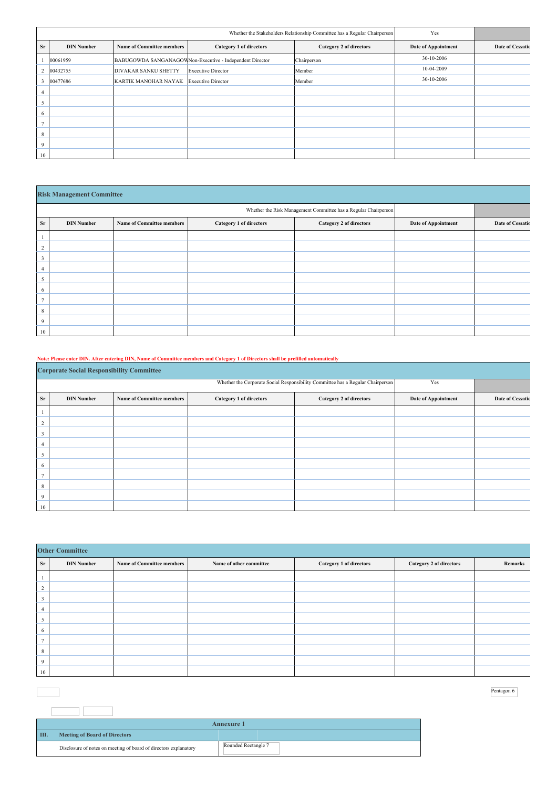|           |                   |                                  | Yes                                                      |                         |                            |                         |
|-----------|-------------------|----------------------------------|----------------------------------------------------------|-------------------------|----------------------------|-------------------------|
| <b>Sr</b> | <b>DIN Number</b> | <b>Name of Committee members</b> | Category 1 of directors                                  | Category 2 of directors | <b>Date of Appointment</b> | <b>Date of Cessatio</b> |
|           | 00061959          |                                  | BABUGOWDA SANGANAGOWNon-Executive - Independent Director | Chairperson             | 30-10-2006                 |                         |
|           | 00432755          | DIVAKAR SANKU SHETTY             | <b>Executive Director</b>                                | Member                  | 10-04-2009                 |                         |
|           | 00477686          | KARTIK MANOHAR NAYAK             | <b>Executive Director</b>                                | Member                  | 30-10-2006                 |                         |
|           |                   |                                  |                                                          |                         |                            |                         |
|           |                   |                                  |                                                          |                         |                            |                         |
| 6         |                   |                                  |                                                          |                         |                            |                         |
|           |                   |                                  |                                                          |                         |                            |                         |
| 8         |                   |                                  |                                                          |                         |                            |                         |
| 9         |                   |                                  |                                                          |                         |                            |                         |
| 10        |                   |                                  |                                                          |                         |                            |                         |

|    | <b>Risk Management Committee</b> |                                  |                         |                                                                 |                     |                         |  |  |
|----|----------------------------------|----------------------------------|-------------------------|-----------------------------------------------------------------|---------------------|-------------------------|--|--|
|    |                                  |                                  |                         | Whether the Risk Management Committee has a Regular Chairperson |                     |                         |  |  |
| Sr | <b>DIN Number</b>                | <b>Name of Committee members</b> | Category 1 of directors | Category 2 of directors                                         | Date of Appointment | <b>Date of Cessatio</b> |  |  |
|    |                                  |                                  |                         |                                                                 |                     |                         |  |  |
| 2  |                                  |                                  |                         |                                                                 |                     |                         |  |  |
| 3  |                                  |                                  |                         |                                                                 |                     |                         |  |  |
| 4  |                                  |                                  |                         |                                                                 |                     |                         |  |  |
| 5  |                                  |                                  |                         |                                                                 |                     |                         |  |  |
| 6  |                                  |                                  |                         |                                                                 |                     |                         |  |  |
|    |                                  |                                  |                         |                                                                 |                     |                         |  |  |
| 8  |                                  |                                  |                         |                                                                 |                     |                         |  |  |
| 9  |                                  |                                  |                         |                                                                 |                     |                         |  |  |
| 10 |                                  |                                  |                         |                                                                 |                     |                         |  |  |

Note: Please enter DIN. After entering DIN, Name of Committee members and Category 1 of Directors shall be prefilled automatically

|    | <b>Corporate Social Responsibility Committee</b> |                                  |                         |                                                                                 |                            |                         |  |  |
|----|--------------------------------------------------|----------------------------------|-------------------------|---------------------------------------------------------------------------------|----------------------------|-------------------------|--|--|
|    |                                                  |                                  |                         | Whether the Corporate Social Responsibility Committee has a Regular Chairperson | Yes                        |                         |  |  |
| Sr | <b>DIN Number</b>                                | <b>Name of Committee members</b> | Category 1 of directors | Category 2 of directors                                                         | <b>Date of Appointment</b> | <b>Date of Cessatio</b> |  |  |
|    |                                                  |                                  |                         |                                                                                 |                            |                         |  |  |
| ∠  |                                                  |                                  |                         |                                                                                 |                            |                         |  |  |
|    |                                                  |                                  |                         |                                                                                 |                            |                         |  |  |
|    |                                                  |                                  |                         |                                                                                 |                            |                         |  |  |
| 5  |                                                  |                                  |                         |                                                                                 |                            |                         |  |  |
| 6  |                                                  |                                  |                         |                                                                                 |                            |                         |  |  |
|    |                                                  |                                  |                         |                                                                                 |                            |                         |  |  |
| 8  |                                                  |                                  |                         |                                                                                 |                            |                         |  |  |
| 9  |                                                  |                                  |                         |                                                                                 |                            |                         |  |  |
| 10 |                                                  |                                  |                         |                                                                                 |                            |                         |  |  |

|                | <b>Other Committee</b> |                                  |                         |                         |                         |         |  |
|----------------|------------------------|----------------------------------|-------------------------|-------------------------|-------------------------|---------|--|
| Sr             | <b>DIN Number</b>      | <b>Name of Committee members</b> | Name of other committee | Category 1 of directors | Category 2 of directors | Remarks |  |
|                |                        |                                  |                         |                         |                         |         |  |
| ∍<br>∠         |                        |                                  |                         |                         |                         |         |  |
| 3              |                        |                                  |                         |                         |                         |         |  |
| 4              |                        |                                  |                         |                         |                         |         |  |
| Þ              |                        |                                  |                         |                         |                         |         |  |
| 6              |                        |                                  |                         |                         |                         |         |  |
| $\overline{ }$ |                        |                                  |                         |                         |                         |         |  |
| 8              |                        |                                  |                         |                         |                         |         |  |
| 9              |                        |                                  |                         |                         |                         |         |  |
| 10             |                        |                                  |                         |                         |                         |         |  |

|    | <b>Annexure 1</b>                                                |                     |  |  |  |  |
|----|------------------------------------------------------------------|---------------------|--|--|--|--|
| Ш. | <b>Meeting of Board of Directors</b>                             |                     |  |  |  |  |
|    | Disclosure of notes on meeting of board of directors explanatory | Rounded Rectangle 7 |  |  |  |  |

 $\mathcal{L}_{\mathcal{A}}$ 

Pentagon 6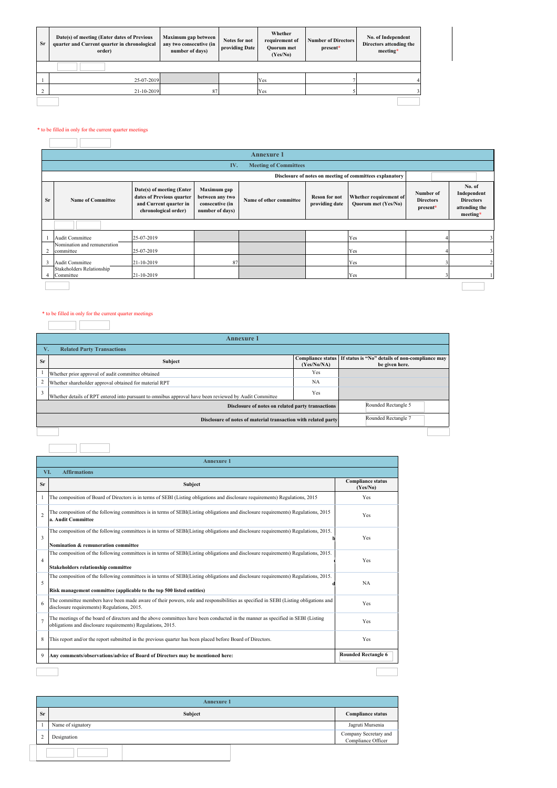| Sr             | Date(s) of meeting (Enter dates of Previous<br>quarter and Current quarter in chronological<br>order) | Whether<br>Maximum gap between<br>Notes for not<br>any two consecutive (in<br>providing Date<br>number of days)<br>(Yes/No) |  | requirement of<br><b>Quorum</b> met | <b>Number of Directors</b><br>present* | No. of Independent<br>Directors attending the<br>meeting* |
|----------------|-------------------------------------------------------------------------------------------------------|-----------------------------------------------------------------------------------------------------------------------------|--|-------------------------------------|----------------------------------------|-----------------------------------------------------------|
|                |                                                                                                       |                                                                                                                             |  |                                     |                                        |                                                           |
|                | 25-07-2019                                                                                            |                                                                                                                             |  | Yes                                 |                                        |                                                           |
| $\overline{2}$ | 21-10-2019                                                                                            | 87                                                                                                                          |  | Yes                                 |                                        |                                                           |
|                |                                                                                                       |                                                                                                                             |  |                                     |                                        |                                                           |

## $\hspace{0.1mm}^*$  to be filled in only for the current quarter meetings  $\hspace{0.1mm}$

|    | Annexure 1                                               |                                                                                                          |                                                                      |                         |                                        |                                               |                                           |                                                                        |
|----|----------------------------------------------------------|----------------------------------------------------------------------------------------------------------|----------------------------------------------------------------------|-------------------------|----------------------------------------|-----------------------------------------------|-------------------------------------------|------------------------------------------------------------------------|
|    | <b>Meeting of Committees</b><br>IV.                      |                                                                                                          |                                                                      |                         |                                        |                                               |                                           |                                                                        |
|    | Disclosure of notes on meeting of committees explanatory |                                                                                                          |                                                                      |                         |                                        |                                               |                                           |                                                                        |
| Sr | <b>Name of Committee</b>                                 | Date(s) of meeting (Enter<br>dates of Previous quarter<br>and Current quarter in<br>chronological order) | Maximum gap<br>between any two<br>consecutive (in<br>number of days) | Name of other committee | <b>Reson for not</b><br>providing date | Whether requirement of<br>Quorum met (Yes/No) | Number of<br><b>Directors</b><br>present* | No. of<br>Independent<br><b>Directors</b><br>attending the<br>meeting* |
|    |                                                          |                                                                                                          |                                                                      |                         |                                        |                                               |                                           |                                                                        |
|    | Audit Committee                                          | 25-07-2019                                                                                               |                                                                      |                         |                                        | Yes                                           |                                           |                                                                        |
|    | Nomination and remuneration<br>committee                 | 25-07-2019                                                                                               |                                                                      |                         |                                        | Yes                                           |                                           |                                                                        |
| 3  | Audit Committee                                          | 21-10-2019                                                                                               | 87                                                                   |                         |                                        | Yes                                           |                                           |                                                                        |
|    | Stakeholders Relationship<br>Committee                   | 21-10-2019                                                                                               |                                                                      |                         |                                        | Yes                                           |                                           |                                                                        |
|    |                                                          |                                                                                                          |                                                                      |                         |                                        |                                               |                                           |                                                                        |

# $\hspace{0.1mm}^*$  to be filled in only for the current quarter meetings  $\overline{\phantom{a}}$

|                                   | <b>Annexure 1</b>                                                                                      |             |                                                                                     |  |  |  |
|-----------------------------------|--------------------------------------------------------------------------------------------------------|-------------|-------------------------------------------------------------------------------------|--|--|--|
| <b>Related Party Transactions</b> |                                                                                                        |             |                                                                                     |  |  |  |
| <b>Sr</b>                         | Subject                                                                                                | (Yes/No/NA) | Compliance status If status is "No" details of non-compliance may<br>be given here. |  |  |  |
|                                   | Whether prior approval of audit committee obtained                                                     | Yes         |                                                                                     |  |  |  |
| 2                                 | Whether shareholder approval obtained for material RPT                                                 | NA          |                                                                                     |  |  |  |
| $\mathbf{3}$                      | Whether details of RPT entered into pursuant to omnibus approval have been reviewed by Audit Committee | Yes         |                                                                                     |  |  |  |
|                                   | Rounded Rectangle 5<br>Disclosure of notes on related party transactions                               |             |                                                                                     |  |  |  |
|                                   | Rounded Rectangle 7<br>Disclosure of notes of material transaction with related party                  |             |                                                                                     |  |  |  |
|                                   |                                                                                                        |             |                                                                                     |  |  |  |

J.

## 

| Sr             | Subject                                                                                                                                                                                                      | <b>Compliance status</b><br>(Yes/No) |  |
|----------------|--------------------------------------------------------------------------------------------------------------------------------------------------------------------------------------------------------------|--------------------------------------|--|
|                | The composition of Board of Directors is in terms of SEBI (Listing obligations and disclosure requirements) Regulations, 2015                                                                                | Yes                                  |  |
| $\overline{2}$ | The composition of the following committees is in terms of SEBI(Listing obligations and disclosure requirements) Regulations, 2015<br>a. Audit Committee                                                     | Yes                                  |  |
| 3              | The composition of the following committees is in terms of SEBI(Listing obligations and disclosure requirements) Regulations, 2015.<br>Nomination & remuneration committee                                   | Yes                                  |  |
| $\overline{4}$ | The composition of the following committees is in terms of SEBI(Listing obligations and disclosure requirements) Regulations, 2015.<br><b>Stakeholders relationship committee</b>                            | Yes                                  |  |
| 5              | The composition of the following committees is in terms of SEBI(Listing obligations and disclosure requirements) Regulations, 2015.<br>Risk management committee (applicable to the top 500 listed entities) | NA                                   |  |
| 6              | The committee members have been made aware of their powers, role and responsibilities as specified in SEBI (Listing obligations and<br>disclosure requirements) Regulations, 2015.                           | Yes                                  |  |
|                | The meetings of the board of directors and the above committees have been conducted in the manner as specified in SEBI (Listing<br>obligations and disclosure requirements) Regulations, 2015.               | Yes                                  |  |
| 8              | This report and/or the report submitted in the previous quarter has been placed before Board of Directors.                                                                                                   | Yes                                  |  |
| 9              | Any comments/observations/advice of Board of Directors may be mentioned here:                                                                                                                                | <b>Rounded Rectangle 6</b>           |  |

| <b>Annexure 1</b> |                   |                                             |  |  |  |
|-------------------|-------------------|---------------------------------------------|--|--|--|
| Sr                | Subject           | <b>Compliance status</b>                    |  |  |  |
|                   | Name of signatory | Jagruti Mursenia                            |  |  |  |
|                   | Designation       | Company Secretary and<br>Compliance Officer |  |  |  |
|                   |                   |                                             |  |  |  |